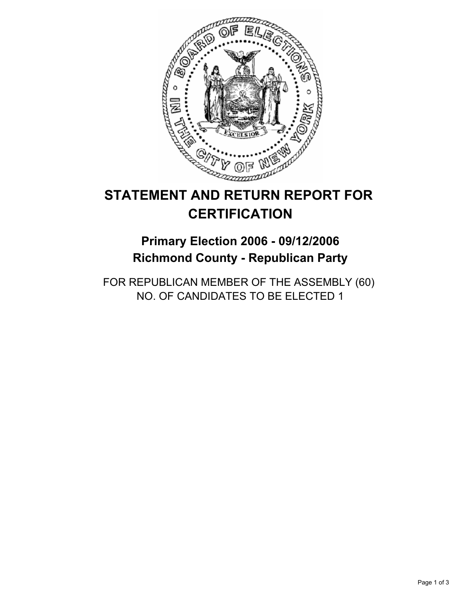

# **STATEMENT AND RETURN REPORT FOR CERTIFICATION**

# **Primary Election 2006 - 09/12/2006 Richmond County - Republican Party**

FOR REPUBLICAN MEMBER OF THE ASSEMBLY (60) NO. OF CANDIDATES TO BE ELECTED 1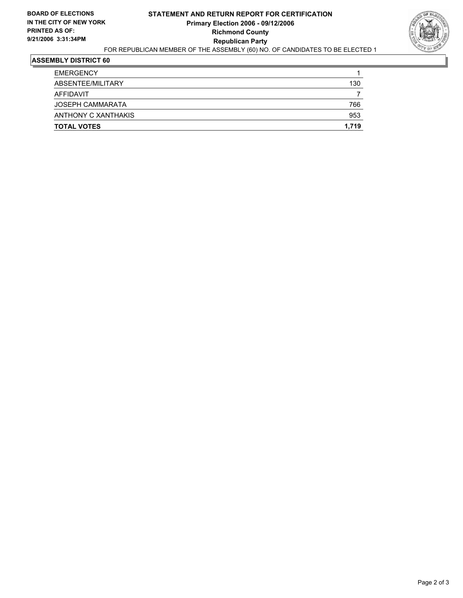#### **STATEMENT AND RETURN REPORT FOR CERTIFICATION Primary Election 2006 - 09/12/2006 Richmond County Republican Party** FOR REPUBLICAN MEMBER OF THE ASSEMBLY (60) NO. OF CANDIDATES TO BE ELECTED 1



## **ASSEMBLY DISTRICT 60**

| <b>TOTAL VOTES</b>      | 1,719 |
|-------------------------|-------|
| ANTHONY C XANTHAKIS     | 953   |
| <b>JOSEPH CAMMARATA</b> | 766   |
| AFFIDAVIT               |       |
| ABSENTEE/MILITARY       | 130   |
| <b>EMERGENCY</b>        |       |